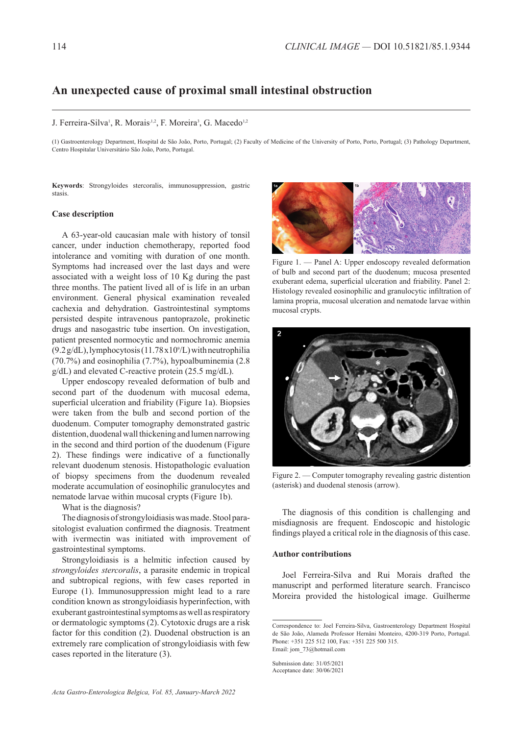# **An unexpected cause of proximal small intestinal obstruction**

#### J. Ferreira-Silva<sup>1</sup>, R. Morais<sup>,1,2</sup>, F. Moreira<sup>3</sup>, G. Macedo<sup>1,2</sup>

(1) Gastroenterology Department, Hospital de São João, Porto, Portugal; (2) Faculty of Medicine of the University of Porto, Porto, Portugal; (3) Pathology Department, Centro Hospitalar Universitário São João, Porto, Portugal.

**Keywords**: Strongyloides stercoralis, immunosuppression, gastric stasis.

### **Case description**

A 63-year-old caucasian male with history of tonsil cancer, under induction chemotherapy, reported food intolerance and vomiting with duration of one month. Symptoms had increased over the last days and were associated with a weight loss of 10 Kg during the past three months. The patient lived all of is life in an urban environment. General physical examination revealed cachexia and dehydration. Gastrointestinal symptoms persisted despite intravenous pantoprazole, prokinetic drugs and nasogastric tube insertion. On investigation, patient presented normocytic and normochromic anemia  $(9.2 g/dL)$ , lymphocytosis  $(11.78 \times 10^{9}/L)$  with neutrophilia (70.7%) and eosinophilia (7.7%), hypoalbuminemia (2.8 g/dL) and elevated C-reactive protein (25.5 mg/dL).

Upper endoscopy revealed deformation of bulb and second part of the duodenum with mucosal edema, superficial ulceration and friability (Figure 1a). Biopsies were taken from the bulb and second portion of the duodenum. Computer tomography demonstrated gastric distention, duodenal wall thickening and lumen narrowing in the second and third portion of the duodenum (Figure 2). These findings were indicative of a functionally relevant duodenum stenosis. Histopathologic evaluation of biopsy specimens from the duodenum revealed moderate accumulation of eosinophilic granulocytes and nematode larvae within mucosal crypts (Figure 1b).

What is the diagnosis?

The diagnosis of strongyloidiasis was made. Stool parasitologist evaluation confirmed the diagnosis. Treatment with ivermectin was initiated with improvement of gastrointestinal symptoms.

Strongyloidiasis is a helmitic infection caused by *strongyloides stercoralis*, a parasite endemic in tropical and subtropical regions, with few cases reported in Europe (1). Immunosuppression might lead to a rare condition known as strongyloidiasis hyperinfection, with exuberant gastrointestinal symptoms as well as respiratory or dermatologic symptoms (2). Cytotoxic drugs are a risk factor for this condition (2). Duodenal obstruction is an extremely rare complication of strongyloidiasis with few cases reported in the literature (3).



Figure 1. — Panel A: Upper endoscopy revealed deformation of bulb and second part of the duodenum; mucosa presented exuberant edema, superficial ulceration and friability. Panel 2: Histology revealed eosinophilic and granulocytic infiltration of lamina propria, mucosal ulceration and nematode larvae within mucosal crypts.



Figure 2. — Computer tomography revealing gastric distention (asterisk) and duodenal stenosis (arrow).

The diagnosis of this condition is challenging and misdiagnosis are frequent. Endoscopic and histologic findings played a critical role in the diagnosis of this case.

#### **Author contributions**

Joel Ferreira-Silva and Rui Morais drafted the manuscript and performed literature search. Francisco Moreira provided the histological image. Guilherme

Correspondence to: Joel Ferreira-Silva, Gastroenterology Department Hospital de São João, Alameda Professor Hernâni Monteiro, 4200-319 Porto, Portugal. Phone: +351 225 512 100, Fax: +351 225 500 315. Email: jom\_73@hotmail.com

Submission date: 31/05/2021 Acceptance date: 30/06/2021